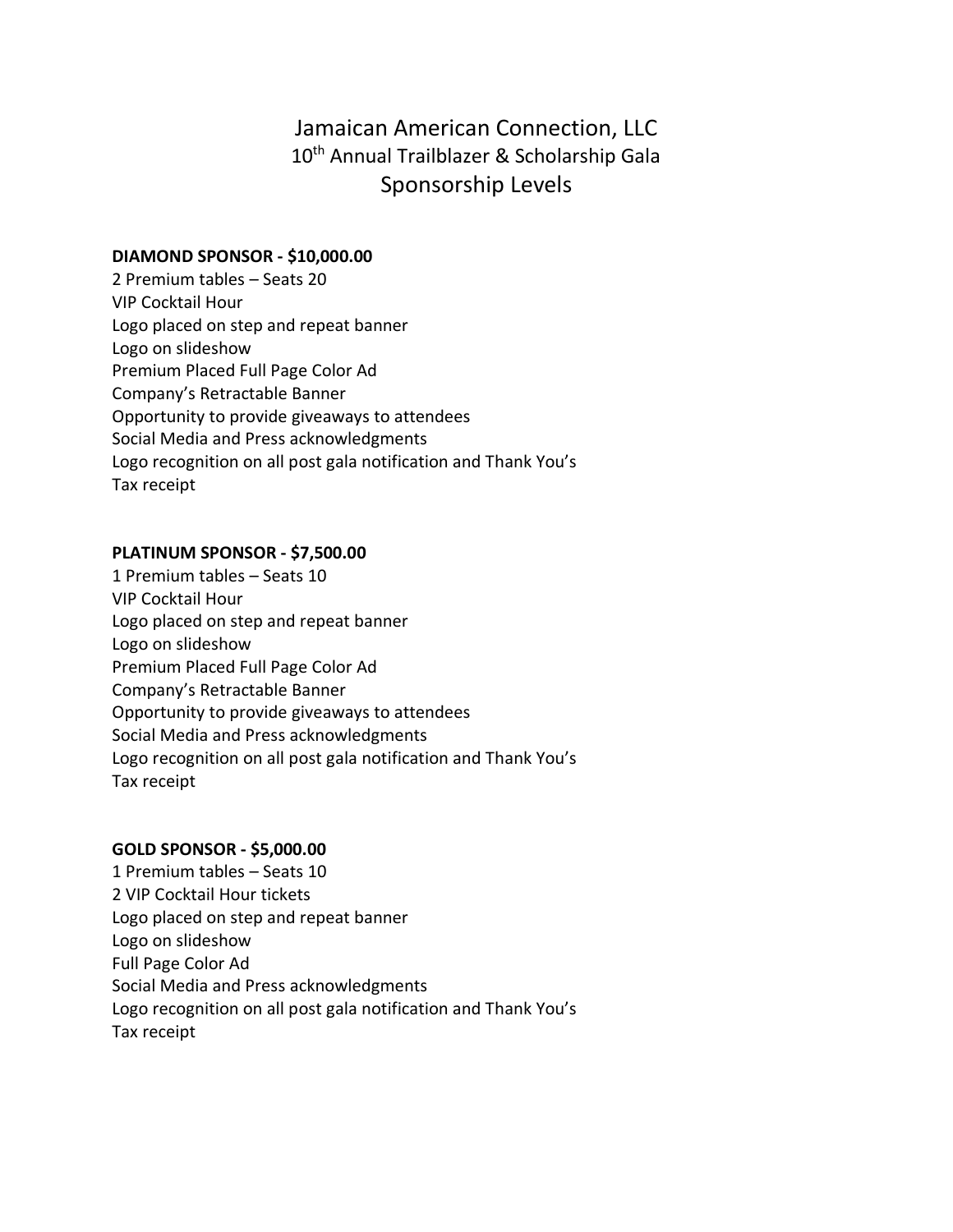# Jamaican American Connection, LLC 10<sup>th</sup> Annual Trailblazer & Scholarship Gala Sponsorship Levels

## **DIAMOND SPONSOR - \$10,000.00**

2 Premium tables – Seats 20 VIP Cocktail Hour Logo placed on step and repeat banner Logo on slideshow Premium Placed Full Page Color Ad Company's Retractable Banner Opportunity to provide giveaways to attendees Social Media and Press acknowledgments Logo recognition on all post gala notification and Thank You's Tax receipt

## **PLATINUM SPONSOR - \$7,500.00**

1 Premium tables – Seats 10 VIP Cocktail Hour Logo placed on step and repeat banner Logo on slideshow Premium Placed Full Page Color Ad Company's Retractable Banner Opportunity to provide giveaways to attendees Social Media and Press acknowledgments Logo recognition on all post gala notification and Thank You's Tax receipt

# **GOLD SPONSOR - \$5,000.00**

1 Premium tables – Seats 10 2 VIP Cocktail Hour tickets Logo placed on step and repeat banner Logo on slideshow Full Page Color Ad Social Media and Press acknowledgments Logo recognition on all post gala notification and Thank You's Tax receipt